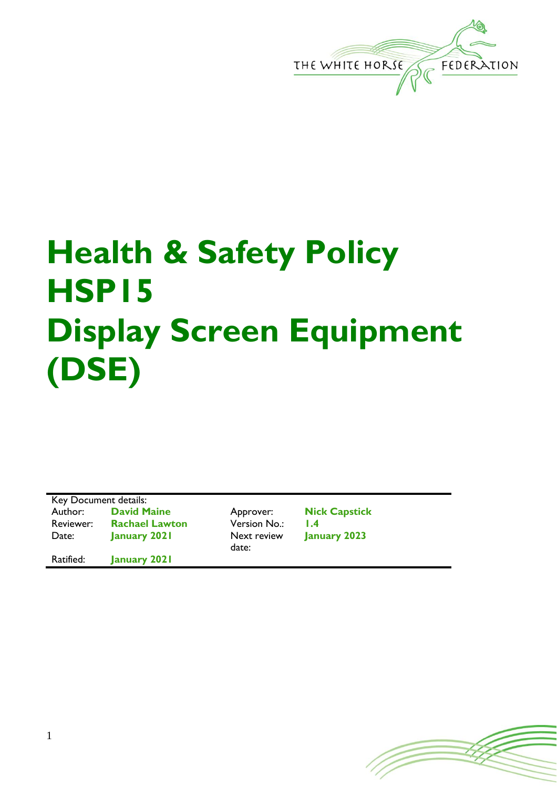

## **Health & Safety Policy HSP15 Display Screen Equipment (DSE)**

Key Document details: Author: **David Maine Approver: Nick Capstick** Reviewer: **Rachael Lawton** Version No.: **1.4** Date: **January 2021** Next review Ratified: **January 2021**

date:

**January 2023**

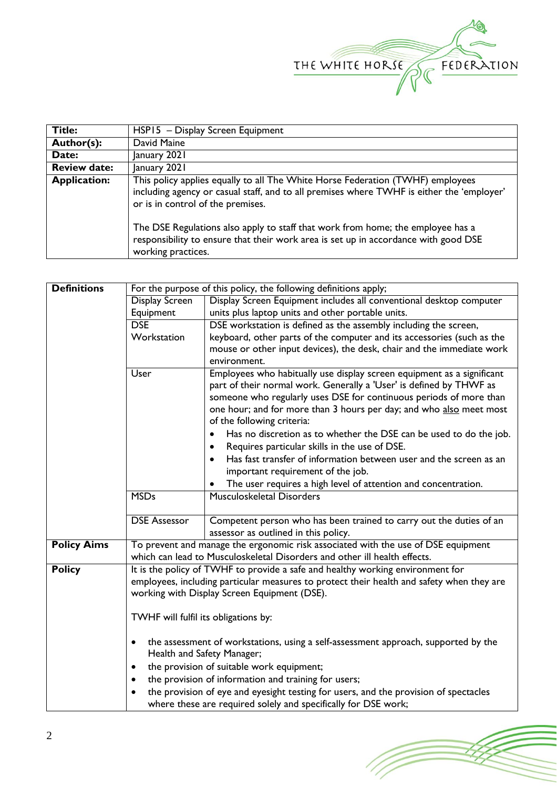

| <b>Title:</b>       | HSP15 - Display Screen Equipment                                                                                                                                                                                                                                                                                                                                                                                 |  |  |
|---------------------|------------------------------------------------------------------------------------------------------------------------------------------------------------------------------------------------------------------------------------------------------------------------------------------------------------------------------------------------------------------------------------------------------------------|--|--|
| Author(s):          | David Maine                                                                                                                                                                                                                                                                                                                                                                                                      |  |  |
| Date:               | January 2021                                                                                                                                                                                                                                                                                                                                                                                                     |  |  |
| <b>Review date:</b> | January 2021                                                                                                                                                                                                                                                                                                                                                                                                     |  |  |
| <b>Application:</b> | This policy applies equally to all The White Horse Federation (TWHF) employees<br>including agency or casual staff, and to all premises where TWHF is either the 'employer'<br>or is in control of the premises.<br>The DSE Regulations also apply to staff that work from home; the employee has a<br>responsibility to ensure that their work area is set up in accordance with good DSE<br>working practices. |  |  |

| <b>Definitions</b> | For the purpose of this policy, the following definitions apply;                          |                                                                                   |  |  |  |
|--------------------|-------------------------------------------------------------------------------------------|-----------------------------------------------------------------------------------|--|--|--|
|                    | Display Screen                                                                            | Display Screen Equipment includes all conventional desktop computer               |  |  |  |
|                    | Equipment                                                                                 | units plus laptop units and other portable units.                                 |  |  |  |
|                    | <b>DSE</b>                                                                                | DSE workstation is defined as the assembly including the screen,                  |  |  |  |
|                    | Workstation                                                                               | keyboard, other parts of the computer and its accessories (such as the            |  |  |  |
|                    |                                                                                           | mouse or other input devices), the desk, chair and the immediate work             |  |  |  |
|                    |                                                                                           | environment.                                                                      |  |  |  |
|                    | User                                                                                      | Employees who habitually use display screen equipment as a significant            |  |  |  |
|                    |                                                                                           | part of their normal work. Generally a 'User' is defined by THWF as               |  |  |  |
|                    |                                                                                           | someone who regularly uses DSE for continuous periods of more than                |  |  |  |
|                    |                                                                                           | one hour; and for more than 3 hours per day; and who also meet most               |  |  |  |
|                    | of the following criteria:                                                                |                                                                                   |  |  |  |
| $\bullet$          |                                                                                           | Has no discretion as to whether the DSE can be used to do the job.                |  |  |  |
| $\bullet$          |                                                                                           | Requires particular skills in the use of DSE.                                     |  |  |  |
|                    |                                                                                           | Has fast transfer of information between user and the screen as an<br>$\bullet$   |  |  |  |
|                    |                                                                                           | important requirement of the job.                                                 |  |  |  |
|                    |                                                                                           | The user requires a high level of attention and concentration.                    |  |  |  |
|                    | <b>MSDs</b>                                                                               | Musculoskeletal Disorders                                                         |  |  |  |
|                    |                                                                                           |                                                                                   |  |  |  |
|                    | <b>DSE Assessor</b>                                                                       | Competent person who has been trained to carry out the duties of an               |  |  |  |
|                    |                                                                                           | assessor as outlined in this policy.                                              |  |  |  |
| <b>Policy Aims</b> |                                                                                           | To prevent and manage the ergonomic risk associated with the use of DSE equipment |  |  |  |
|                    |                                                                                           | which can lead to Musculoskeletal Disorders and other ill health effects.         |  |  |  |
| <b>Policy</b>      |                                                                                           | It is the policy of TWHF to provide a safe and healthy working environment for    |  |  |  |
|                    | employees, including particular measures to protect their health and safety when they are |                                                                                   |  |  |  |
|                    | working with Display Screen Equipment (DSE).                                              |                                                                                   |  |  |  |
|                    |                                                                                           |                                                                                   |  |  |  |
|                    | TWHF will fulfil its obligations by:                                                      |                                                                                   |  |  |  |
|                    |                                                                                           |                                                                                   |  |  |  |
|                    | the assessment of workstations, using a self-assessment approach, supported by the<br>٠   |                                                                                   |  |  |  |
|                    |                                                                                           | Health and Safety Manager;                                                        |  |  |  |
|                    | ٠                                                                                         | the provision of suitable work equipment;                                         |  |  |  |
|                    | the provision of information and training for users;<br>٠                                 |                                                                                   |  |  |  |
|                    | the provision of eye and eyesight testing for users, and the provision of spectacles      |                                                                                   |  |  |  |
|                    |                                                                                           | where these are required solely and specifically for DSE work;                    |  |  |  |
|                    |                                                                                           |                                                                                   |  |  |  |

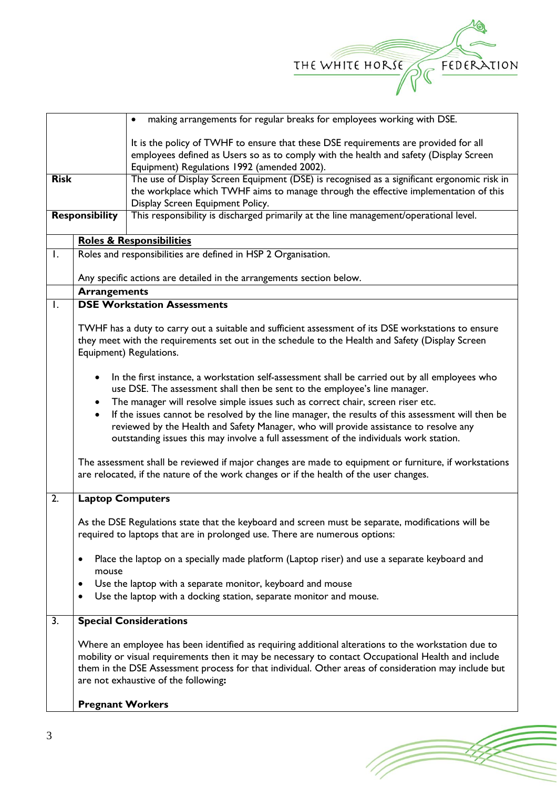

|                       |                                                                            | making arrangements for regular breaks for employees working with DSE.<br>$\bullet$                   |  |  |  |
|-----------------------|----------------------------------------------------------------------------|-------------------------------------------------------------------------------------------------------|--|--|--|
|                       |                                                                            | It is the policy of TWHF to ensure that these DSE requirements are provided for all                   |  |  |  |
|                       |                                                                            | employees defined as Users so as to comply with the health and safety (Display Screen                 |  |  |  |
|                       |                                                                            | Equipment) Regulations 1992 (amended 2002).                                                           |  |  |  |
| <b>Risk</b>           |                                                                            | The use of Display Screen Equipment (DSE) is recognised as a significant ergonomic risk in            |  |  |  |
|                       |                                                                            | the workplace which TWHF aims to manage through the effective implementation of this                  |  |  |  |
|                       |                                                                            | Display Screen Equipment Policy.                                                                      |  |  |  |
| <b>Responsibility</b> |                                                                            | This responsibility is discharged primarily at the line management/operational level.                 |  |  |  |
|                       |                                                                            | <b>Roles &amp; Responsibilities</b>                                                                   |  |  |  |
| Ι.                    | Roles and responsibilities are defined in HSP 2 Organisation.              |                                                                                                       |  |  |  |
|                       |                                                                            |                                                                                                       |  |  |  |
|                       |                                                                            | Any specific actions are detailed in the arrangements section below.                                  |  |  |  |
|                       | <b>Arrangements</b>                                                        |                                                                                                       |  |  |  |
| $\mathsf{I}$ .        |                                                                            | <b>DSE Workstation Assessments</b>                                                                    |  |  |  |
|                       |                                                                            | TWHF has a duty to carry out a suitable and sufficient assessment of its DSE workstations to ensure   |  |  |  |
|                       |                                                                            | they meet with the requirements set out in the schedule to the Health and Safety (Display Screen      |  |  |  |
|                       |                                                                            | Equipment) Regulations.                                                                               |  |  |  |
|                       |                                                                            |                                                                                                       |  |  |  |
|                       | $\bullet$                                                                  | In the first instance, a workstation self-assessment shall be carried out by all employees who        |  |  |  |
|                       | use DSE. The assessment shall then be sent to the employee's line manager. |                                                                                                       |  |  |  |
|                       | $\bullet$                                                                  | The manager will resolve simple issues such as correct chair, screen riser etc.                       |  |  |  |
|                       | $\bullet$                                                                  | If the issues cannot be resolved by the line manager, the results of this assessment will then be     |  |  |  |
|                       |                                                                            | reviewed by the Health and Safety Manager, who will provide assistance to resolve any                 |  |  |  |
|                       |                                                                            | outstanding issues this may involve a full assessment of the individuals work station.                |  |  |  |
|                       |                                                                            |                                                                                                       |  |  |  |
|                       |                                                                            | The assessment shall be reviewed if major changes are made to equipment or furniture, if workstations |  |  |  |
|                       |                                                                            | are relocated, if the nature of the work changes or if the health of the user changes.                |  |  |  |
| 2.                    | <b>Laptop Computers</b>                                                    |                                                                                                       |  |  |  |
|                       |                                                                            |                                                                                                       |  |  |  |
|                       |                                                                            | As the DSE Regulations state that the keyboard and screen must be separate, modifications will be     |  |  |  |
|                       |                                                                            | required to laptops that are in prolonged use. There are numerous options:                            |  |  |  |
|                       |                                                                            |                                                                                                       |  |  |  |
|                       | ٠<br>mouse                                                                 | Place the laptop on a specially made platform (Laptop riser) and use a separate keyboard and          |  |  |  |
|                       |                                                                            | Use the laptop with a separate monitor, keyboard and mouse                                            |  |  |  |
|                       |                                                                            | Use the laptop with a docking station, separate monitor and mouse.                                    |  |  |  |
|                       |                                                                            |                                                                                                       |  |  |  |
| 3.                    |                                                                            | <b>Special Considerations</b>                                                                         |  |  |  |
|                       |                                                                            |                                                                                                       |  |  |  |
|                       |                                                                            | Where an employee has been identified as requiring additional alterations to the workstation due to   |  |  |  |
|                       |                                                                            | mobility or visual requirements then it may be necessary to contact Occupational Health and include   |  |  |  |
|                       |                                                                            | them in the DSE Assessment process for that individual. Other areas of consideration may include but  |  |  |  |
|                       |                                                                            |                                                                                                       |  |  |  |
|                       | <b>Pregnant Workers</b>                                                    |                                                                                                       |  |  |  |
|                       |                                                                            | are not exhaustive of the following:                                                                  |  |  |  |
|                       |                                                                            |                                                                                                       |  |  |  |

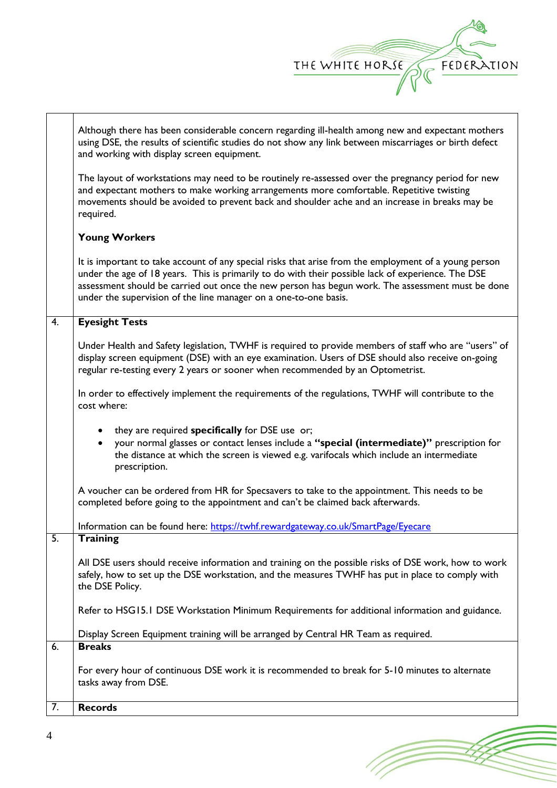

(Topon

|    | Although there has been considerable concern regarding ill-health among new and expectant mothers<br>using DSE, the results of scientific studies do not show any link between miscarriages or birth defect<br>and working with display screen equipment.                                                                                                                           |
|----|-------------------------------------------------------------------------------------------------------------------------------------------------------------------------------------------------------------------------------------------------------------------------------------------------------------------------------------------------------------------------------------|
|    | The layout of workstations may need to be routinely re-assessed over the pregnancy period for new<br>and expectant mothers to make working arrangements more comfortable. Repetitive twisting<br>movements should be avoided to prevent back and shoulder ache and an increase in breaks may be<br>required.                                                                        |
|    | <b>Young Workers</b>                                                                                                                                                                                                                                                                                                                                                                |
|    | It is important to take account of any special risks that arise from the employment of a young person<br>under the age of 18 years. This is primarily to do with their possible lack of experience. The DSE<br>assessment should be carried out once the new person has begun work. The assessment must be done<br>under the supervision of the line manager on a one-to-one basis. |
| 4. | <b>Eyesight Tests</b>                                                                                                                                                                                                                                                                                                                                                               |
|    | Under Health and Safety legislation, TWHF is required to provide members of staff who are "users" of<br>display screen equipment (DSE) with an eye examination. Users of DSE should also receive on-going<br>regular re-testing every 2 years or sooner when recommended by an Optometrist.                                                                                         |
|    | In order to effectively implement the requirements of the regulations, TWHF will contribute to the<br>cost where:                                                                                                                                                                                                                                                                   |
|    | they are required specifically for DSE use or;<br>$\bullet$<br>your normal glasses or contact lenses include a "special (intermediate)" prescription for<br>the distance at which the screen is viewed e.g. varifocals which include an intermediate<br>prescription.                                                                                                               |
|    | A voucher can be ordered from HR for Specsavers to take to the appointment. This needs to be<br>completed before going to the appointment and can't be claimed back afterwards.                                                                                                                                                                                                     |
|    | Information can be found here: https://twhf.rewardgateway.co.uk/SmartPage/Eyecare                                                                                                                                                                                                                                                                                                   |
| 5. | <b>Training</b>                                                                                                                                                                                                                                                                                                                                                                     |
|    | All DSE users should receive information and training on the possible risks of DSE work, how to work<br>safely, how to set up the DSE workstation, and the measures TWHF has put in place to comply with<br>the DSE Policy.                                                                                                                                                         |
|    | Refer to HSG15.1 DSE Workstation Minimum Requirements for additional information and guidance.                                                                                                                                                                                                                                                                                      |
|    | Display Screen Equipment training will be arranged by Central HR Team as required.                                                                                                                                                                                                                                                                                                  |
| 6. | <b>Breaks</b>                                                                                                                                                                                                                                                                                                                                                                       |
|    | For every hour of continuous DSE work it is recommended to break for 5-10 minutes to alternate<br>tasks away from DSE.                                                                                                                                                                                                                                                              |
| 7. | <b>Records</b>                                                                                                                                                                                                                                                                                                                                                                      |

 $\Gamma$